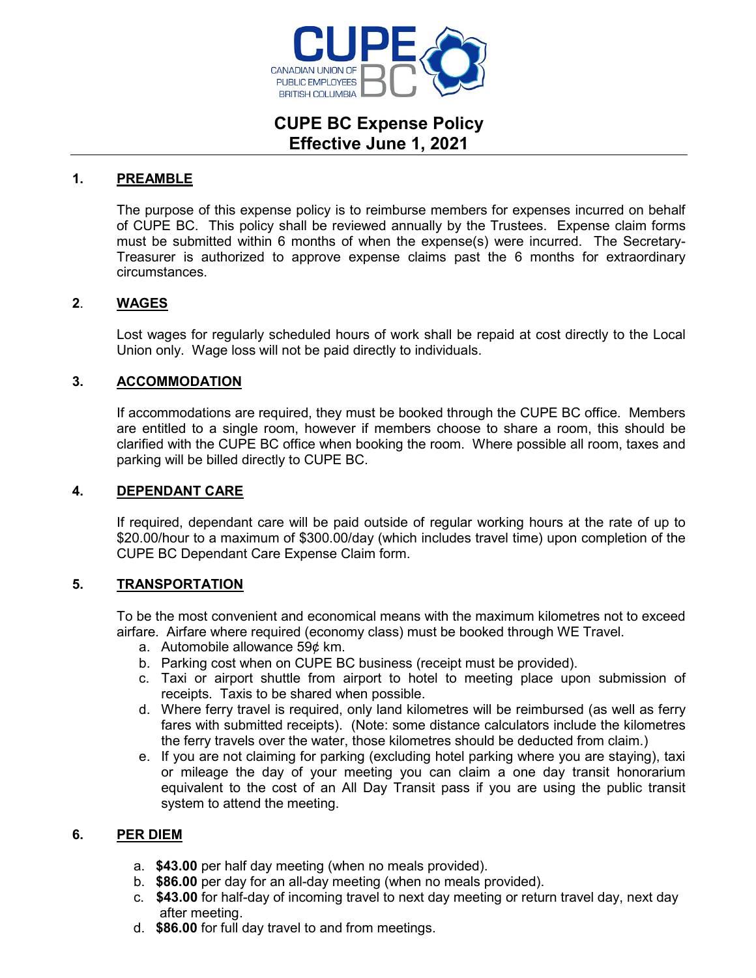

# **CUPE BC Expense Policy Effective June 1, 2021**

### **1. PREAMBLE**

The purpose of this expense policy is to reimburse members for expenses incurred on behalf of CUPE BC. This policy shall be reviewed annually by the Trustees. Expense claim forms must be submitted within 6 months of when the expense(s) were incurred. The Secretary-Treasurer is authorized to approve expense claims past the 6 months for extraordinary circumstances.

### **2**. **WAGES**

Lost wages for regularly scheduled hours of work shall be repaid at cost directly to the Local Union only. Wage loss will not be paid directly to individuals.

## **3. ACCOMMODATION**

If accommodations are required, they must be booked through the CUPE BC office. Members are entitled to a single room, however if members choose to share a room, this should be clarified with the CUPE BC office when booking the room. Where possible all room, taxes and parking will be billed directly to CUPE BC.

#### **4. DEPENDANT CARE**

If required, dependant care will be paid outside of regular working hours at the rate of up to \$20.00/hour to a maximum of \$300.00/day (which includes travel time) upon completion of the CUPE BC Dependant Care Expense Claim form.

## **5. TRANSPORTATION**

To be the most convenient and economical means with the maximum kilometres not to exceed airfare. Airfare where required (economy class) must be booked through WE Travel.

- a. Automobile allowance 59¢ km.
- b. Parking cost when on CUPE BC business (receipt must be provided).
- c. Taxi or airport shuttle from airport to hotel to meeting place upon submission of receipts. Taxis to be shared when possible.
- d. Where ferry travel is required, only land kilometres will be reimbursed (as well as ferry fares with submitted receipts). (Note: some distance calculators include the kilometres the ferry travels over the water, those kilometres should be deducted from claim.)
- e. If you are not claiming for parking (excluding hotel parking where you are staying), taxi or mileage the day of your meeting you can claim a one day transit honorarium equivalent to the cost of an All Day Transit pass if you are using the public transit system to attend the meeting.

## **6. PER DIEM**

- a. **\$43.00** per half day meeting (when no meals provided).
- b. **\$86.00** per day for an all-day meeting (when no meals provided).
- c. **\$43.00** for half-day of incoming travel to next day meeting or return travel day, next day after meeting.
- d. **\$86.00** for full day travel to and from meetings.